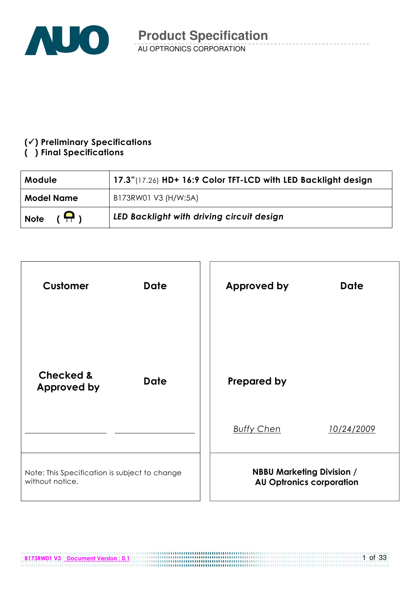

## $(\checkmark)$  Preliminary Specifications

## () Final Specifications

| Module                       | 17.3"(17.26) HD+ 16:9 Color TFT-LCD with LED Backlight design |
|------------------------------|---------------------------------------------------------------|
| <b>Model Name</b>            | B173RW01 V3 (H/W:5A)                                          |
| $(\bigoplus)$<br><b>Note</b> | LED Backlight with driving circuit design                     |

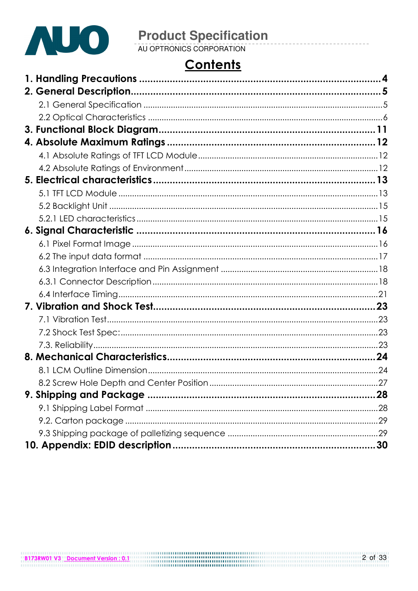

# **Contents**

| 28 |
|----|
|    |
|    |
|    |
|    |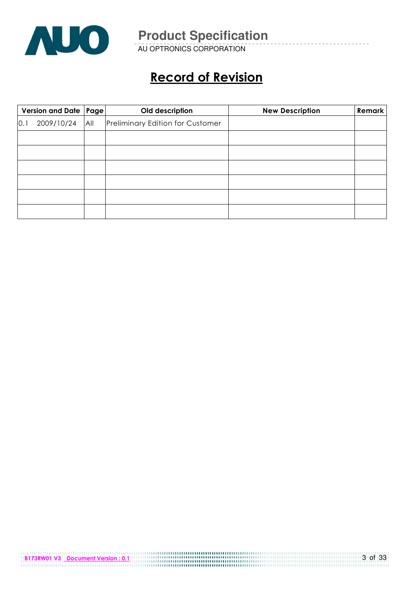

AU OPTRONICS CORPORATION

# Record of Revision

|     | Version and Date   Page  <br>Old description |     |                                         |  |  | <b>New Description</b> | Remark |
|-----|----------------------------------------------|-----|-----------------------------------------|--|--|------------------------|--------|
| 0.1 | 2009/10/24                                   | All | <b>Preliminary Edition for Customer</b> |  |  |                        |        |
|     |                                              |     |                                         |  |  |                        |        |
|     |                                              |     |                                         |  |  |                        |        |
|     |                                              |     |                                         |  |  |                        |        |
|     |                                              |     |                                         |  |  |                        |        |
|     |                                              |     |                                         |  |  |                        |        |
|     |                                              |     |                                         |  |  |                        |        |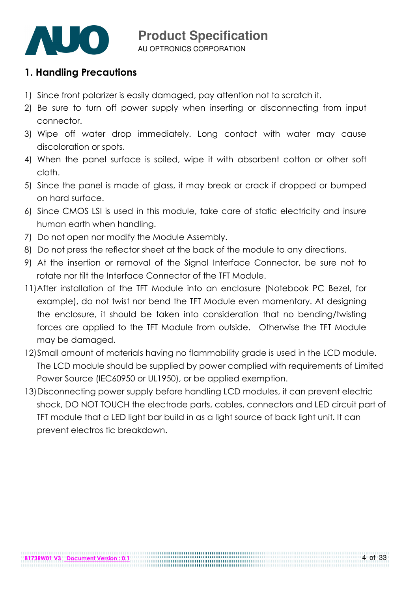

## 1. Handling Precautions

- 1) Since front polarizer is easily damaged, pay attention not to scratch it.
- 2) Be sure to turn off power supply when inserting or disconnecting from input connector.
- 3) Wipe off water drop immediately. Long contact with water may cause discoloration or spots.
- 4) When the panel surface is soiled, wipe it with absorbent cotton or other soft cloth.
- 5) Since the panel is made of glass, it may break or crack if dropped or bumped on hard surface.
- 6) Since CMOS LSI is used in this module, take care of static electricity and insure human earth when handling.
- 7) Do not open nor modify the Module Assembly.
- 8) Do not press the reflector sheet at the back of the module to any directions.
- 9) At the insertion or removal of the Signal Interface Connector, be sure not to rotate nor tilt the Interface Connector of the TFT Module.
- 11) After installation of the TFT Module into an enclosure (Notebook PC Bezel, for example), do not twist nor bend the TFT Module even momentary. At designing the enclosure, it should be taken into consideration that no bending/twisting forces are applied to the TFT Module from outside. Otherwise the TFT Module may be damaged.
- 12)Small amount of materials having no flammability grade is used in the LCD module. The LCD module should be supplied by power complied with requirements of Limited Power Source (IEC60950 or UL1950), or be applied exemption.
- 13)Disconnecting power supply before handling LCD modules, it can prevent electric shock, DO NOT TOUCH the electrode parts, cables, connectors and LED circuit part of TFT module that a LED light bar build in as a light source of back light unit. It can prevent electros tic breakdown.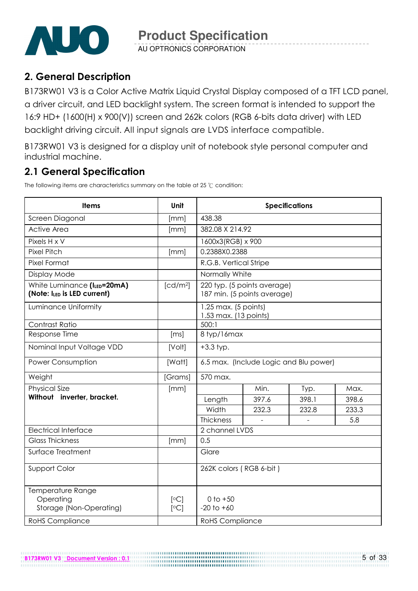

AU OPTRONICS CORPORATION

## 2. General Description

B173RW01 V3 is a Color Active Matrix Liquid Crystal Display composed of a TFT LCD panel, a driver circuit, and LED backlight system. The screen format is intended to support the 16:9 HD+ (1600(H) x 900(V)) screen and 262k colors (RGB 6-bits data driver) with LED backlight driving circuit. All input signals are LVDS interface compatible.

B173RW01 V3 is designed for a display unit of notebook style personal computer and industrial machine.

## 2.1 General Specification

The following items are characteristics summary on the table at 25  $\degree$ C condition:

B173RW01 V3 Document Version : 0.1

| <b>Items</b>                                               | <b>Unit</b>          | <b>Specifications</b>                         |                                                            |       |       |  |  |
|------------------------------------------------------------|----------------------|-----------------------------------------------|------------------------------------------------------------|-------|-------|--|--|
| Screen Diagonal                                            | [mm]                 | 438.38                                        |                                                            |       |       |  |  |
| <b>Active Area</b>                                         | [mm]                 | 382.08 X 214.92                               |                                                            |       |       |  |  |
| Pixels H x V                                               |                      | 1600x3(RGB) x 900                             |                                                            |       |       |  |  |
| <b>Pixel Pitch</b>                                         | [mm]                 | 0.2388X0.2388                                 |                                                            |       |       |  |  |
| <b>Pixel Format</b>                                        |                      | R.G.B. Vertical Stripe                        |                                                            |       |       |  |  |
| Display Mode                                               |                      | Normally White                                |                                                            |       |       |  |  |
| White Luminance (ILED=20mA)<br>(Note: ILED is LED current) | [cd/m <sup>2</sup> ] |                                               | 220 typ. (5 points average)<br>187 min. (5 points average) |       |       |  |  |
| Luminance Uniformity                                       |                      | 1.25 max. (5 points)<br>1.53 max. (13 points) |                                                            |       |       |  |  |
| Contrast Ratio                                             |                      | 500:1                                         |                                                            |       |       |  |  |
| Response Time                                              | [ms]                 | 8 typ/16max                                   |                                                            |       |       |  |  |
| Nominal Input Voltage VDD                                  | [Volt]               | $+3.3$ typ.                                   |                                                            |       |       |  |  |
| Power Consumption                                          | [Watt]               | 6.5 max. (Include Logic and Blu power)        |                                                            |       |       |  |  |
| Weight                                                     | [Grams]              | 570 max.                                      |                                                            |       |       |  |  |
| <b>Physical Size</b>                                       | [mm]                 |                                               | Min.                                                       | Typ.  | Max.  |  |  |
| Without inverter, bracket.                                 |                      | Length                                        | 397.6                                                      | 398.1 | 398.6 |  |  |
|                                                            |                      | Width                                         | 232.3                                                      | 232.8 | 233.3 |  |  |
|                                                            |                      | <b>Thickness</b>                              |                                                            |       | 5.8   |  |  |
| <b>Electrical Interface</b>                                |                      | 2 channel LVDS                                |                                                            |       |       |  |  |
| <b>Glass Thickness</b>                                     | [mm]                 | 0.5                                           |                                                            |       |       |  |  |
| Surface Treatment                                          |                      | Glare                                         |                                                            |       |       |  |  |
| Support Color                                              |                      | 262K colors (RGB 6-bit)                       |                                                            |       |       |  |  |
| Temperature Range<br>Operating<br>Storage (Non-Operating)  | [°C]<br>[°C]         | $0$ to $+50$<br>$-20$ to $+60$                |                                                            |       |       |  |  |
| <b>RoHS Compliance</b>                                     |                      | <b>RoHS</b> Compliance                        |                                                            |       |       |  |  |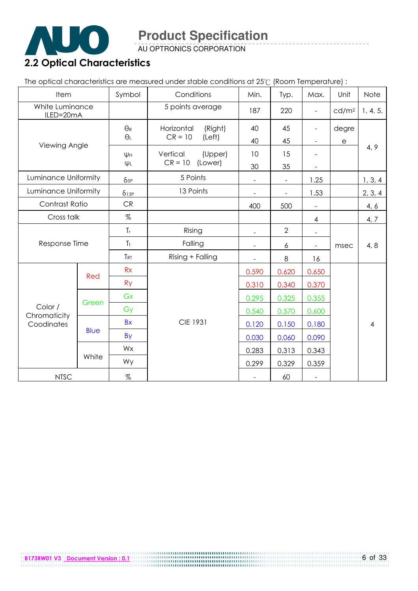

AU OPTRONICS CORPORATION

The optical characteristics are measured under stable conditions at 25°C (Room Temperature) :

| Item<br>Symbol<br>Conditions |             | Min.          | Typ.                  | Max.           | Unit                     | Note                     |                       |                |
|------------------------------|-------------|---------------|-----------------------|----------------|--------------------------|--------------------------|-----------------------|----------------|
| White Luminance<br>ILED=20mA |             |               | 5 points average      | 187            | 220                      | $\frac{1}{2}$            | cd/m <sup>2</sup>     | 1, 4, 5.       |
|                              |             | $\Theta_{R}$  | Horizontal<br>(Right) | 40             | 45                       | -                        | degre                 |                |
| Viewing Angle                |             | $\Theta_L$    | $CR = 10$<br>(Left)   | 40             | 45                       | $\overline{\phantom{0}}$ | $\mathop{\mathrm{e}}$ |                |
|                              |             | ΨH            | Vertical<br>(Upper)   | 10             | 15                       |                          |                       | 4, 9           |
|                              |             | $\Psi L$      | $CR = 10$<br>(Lower)  | 30             | 35                       |                          |                       |                |
| Luminance Uniformity         |             | $\delta_{5P}$ | 5 Points              | $\blacksquare$ | $\overline{\phantom{a}}$ | 1.25                     |                       | 1, 3, 4        |
| Luminance Uniformity         |             | $\delta$ 13P  | 13 Points             |                |                          | 1.53                     |                       | 2, 3, 4        |
| Contrast Ratio               |             | CR            |                       | 400            | 500                      |                          |                       | 4, 6           |
| Cross talk                   |             | %             |                       |                |                          | 4                        |                       | 4, 7           |
|                              |             | $T_{r}$       | Rising                |                | $\overline{2}$           |                          |                       |                |
| Response Time                |             | $T_f$         | Falling               |                | 6                        |                          | msec                  | 4, 8           |
|                              |             |               | Rising + Falling      | $\blacksquare$ | 8                        | 16                       |                       |                |
|                              |             | Rx            |                       | 0.590          | 0.620                    | 0.650                    |                       |                |
|                              | Red         | <b>Ry</b>     |                       | 0.310          | 0.340                    | 0.370                    |                       |                |
|                              |             | Gx            |                       | 0.295          | 0.325                    | 0.355                    |                       |                |
| Color /                      | Green       | Gy            |                       | 0.540          | 0.570                    | 0.600                    |                       |                |
| Chromaticity<br>Coodinates   |             | <b>Bx</b>     | <b>CIE 1931</b>       | 0.120          | 0.150                    | 0.180                    |                       | $\overline{4}$ |
|                              | <b>Blue</b> | By            |                       | 0.030          | 0.060                    | 0.090                    |                       |                |
|                              |             | Wx            |                       | 0.283          | 0.313                    | 0.343                    |                       |                |
|                              | White       | Wy            |                       | 0.299          | 0.329                    | 0.359                    |                       |                |
| <b>NTSC</b>                  |             | $\%$          |                       |                | 60                       | $\overline{\phantom{a}}$ |                       |                |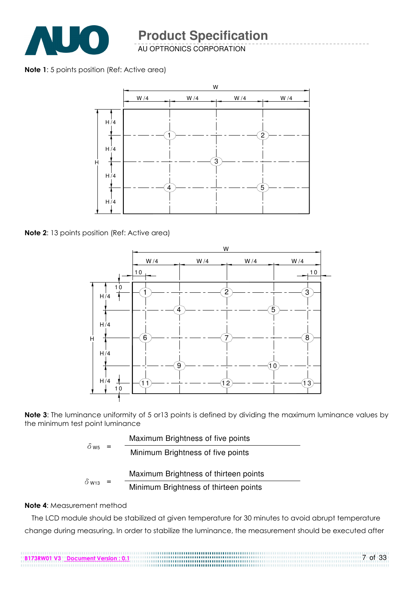

AU OPTRONICS CORPORATION

#### Note 1: 5 points position (Ref: Active area)



Note 2: 13 points position (Ref: Active area)



Note 3: The luminance uniformity of 5 or 13 points is defined by dividing the maximum luminance values by the minimum test point luminance

| $0$ W <sub>5</sub> |     | Maximum Brightness of five points     |
|--------------------|-----|---------------------------------------|
|                    | $=$ | Minimum Brightness of five points     |
|                    |     | Maximum Brightness of thirteen points |
| $\delta$ W13       | $=$ | Minimum Brightness of thirteen points |

#### Note 4: Measurement method

The LCD module should be stabilized at given temperature for 30 minutes to avoid abrupt temperature change during measuring. In order to stabilize the luminance, the measurement should be executed after

7 of 33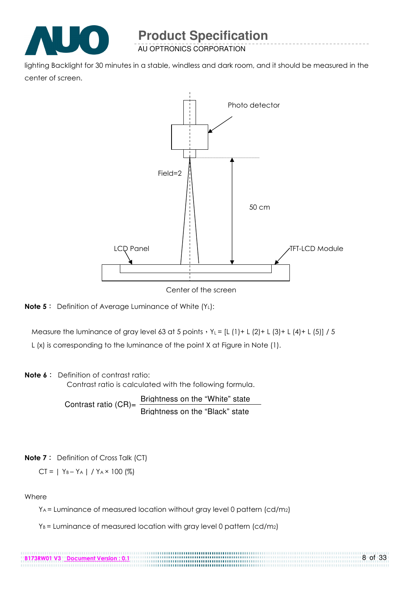

AU OPTRONICS CORPORATION

lighting Backlight for 30 minutes in a stable, windless and dark room, and it should be measured in the center of screen.



Center of the screen



Measure the luminance of gray level 63 at 5 points  $Y_L = [L (1) + L (2) + L (3) + L (4) + L (5)] / 5$ 

L (x) is corresponding to the luminance of the point X at Figure in Note (1).

#### Note 6: Definition of contrast ratio:

Contrast ratio is calculated with the following formula.

Contrast ratio  $(CR)$ = Brightness on the "White" state Brightness on the "Black" state

#### **Note 7**: Definition of Cross Talk (CT)

$$
CT = | Y_B - Y_A | / Y_A \times 100 (%)
$$

B173RW01 V3 Document Version : 0.1

#### Where

YA = Luminance of measured location without gray level 0 pattern (cd/m2)

 $Y_B$  = Luminance of measured location with gray level 0 pattern (cd/m2)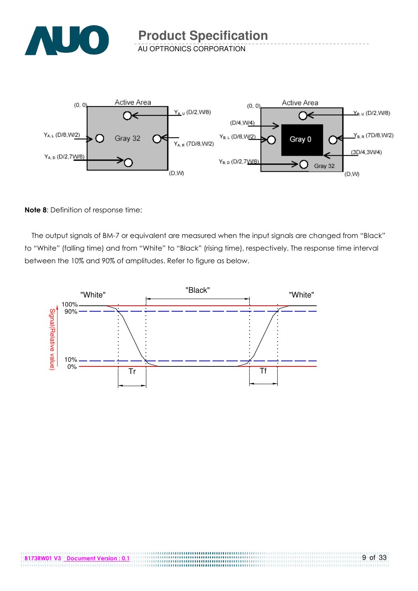

AU OPTRONICS CORPORATION



#### Note 8: Definition of response time:

The output signals of BM-7 or equivalent are measured when the input signals are changed from "Black" to "White" (falling time) and from "White" to "Black" (rising time), respectively. The response time interval between the 10% and 90% of amplitudes. Refer to figure as below.



....................................

.............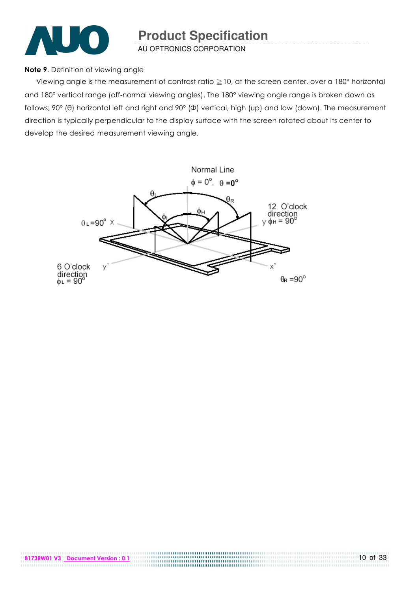

AU OPTRONICS CORPORATION

#### Note 9. Definition of viewing angle

Viewing angle is the measurement of contrast ratio  $\geq$  10, at the screen center, over a 180° horizontal and 180° vertical range (off-normal viewing angles). The 180° viewing angle range is broken down as follows; 90° (θ) horizontal left and right and 90° (Φ) vertical, high (up) and low (down). The measurement direction is typically perpendicular to the display surface with the screen rotated about its center to develop the desired measurement viewing angle.

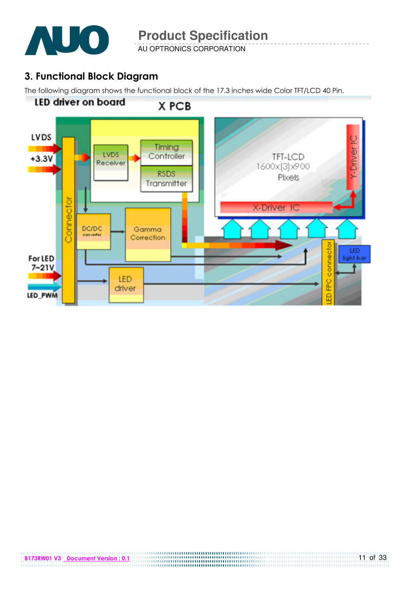

AU OPTRONICS CORPORATION

## 3. Functional Block Diagram

The following diagram shows the functional block of the 17.3 inches wide Color TFT/LCD 40 Pin.

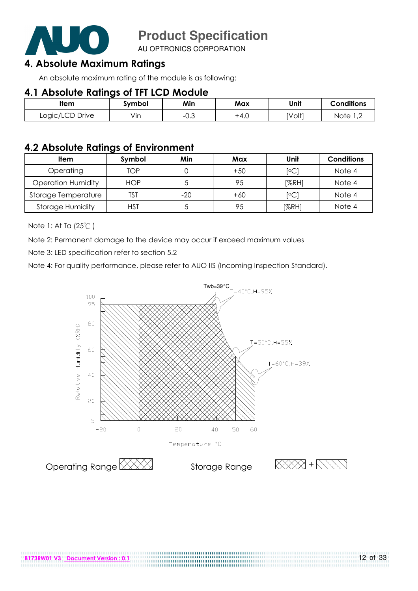

AU OPTRONICS CORPORATION

## 4. Absolute Maximum Ratings

An absolute maximum rating of the module is as following:

## 4.1 Absolute Ratings of TFT LCD Module

| ltem            | svmbol | Min       | Max    | Unit   | <b>Conditions</b>  |
|-----------------|--------|-----------|--------|--------|--------------------|
| Logic/LCD Drive | Vin    | ົ<br>−∪.◡ | $+4.0$ | [Volt] | Note<br>$\sqrt{2}$ |

## 4.2 Absolute Ratings of Environment

| <b>Item</b>               | Symbol     | Min   | Max   | Unit           | <b>Conditions</b> |
|---------------------------|------------|-------|-------|----------------|-------------------|
| Operating                 | TOP        |       | $+50$ | $\overline{C}$ | Note 4            |
| <b>Operation Humidity</b> | <b>HOP</b> |       | 95    | [%RH]          | Note 4            |
| Storage Temperature       | TST        | $-20$ | $+60$ | $\overline{C}$ | Note 4            |
| <b>Storage Humidity</b>   | HST        |       | 95    | [%RH]          | Note 4            |

Note 1: At Ta (25°C)

Note 2: Permanent damage to the device may occur if exceed maximum values

Note 3: LED specification refer to section 5.2

Note 4: For quality performance, please refer to AUO IIS (Incoming Inspection Standard).



.....................................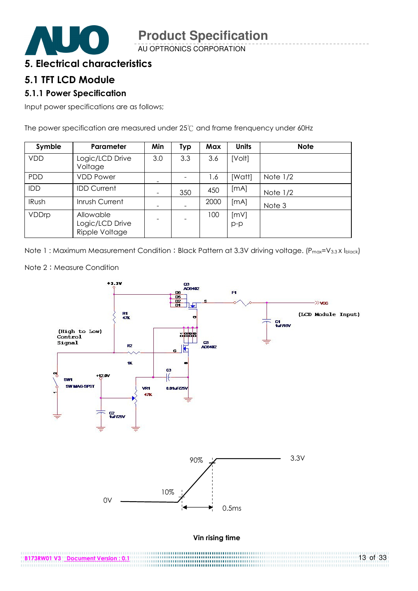

AU OPTRONICS CORPORATION

## 5. Electrical characteristics

## 5.1 TFT LCD Module

#### 5.1.1 Power Specification

Input power specifications are as follows;

The power specification are measured under 25°C and frame frenquency under 60Hz

| Symble       | Parameter                                      | Min | <b>Typ</b> | Max  | <b>Units</b>  | <b>Note</b> |
|--------------|------------------------------------------------|-----|------------|------|---------------|-------------|
| <b>VDD</b>   | Logic/LCD Drive<br>Voltage                     | 3.0 | 3.3        | 3.6  | [Volt]        |             |
| <b>PDD</b>   | <b>VDD Power</b>                               |     |            | 1.6  | [Watt]        | Note $1/2$  |
| IDD          | <b>IDD Current</b>                             | -   | 350        | 450  | [mA]          | Note $1/2$  |
| <b>IRush</b> | Inrush Current                                 |     |            | 2000 | [mA]          | Note 3      |
| VDDrp        | Allowable<br>Logic/LCD Drive<br>Ripple Voltage |     |            | 100  | [mV]<br>$p-p$ |             |

Note 1: Maximum Measurement Condition: Black Pattern at 3.3V driving voltage. (Pmax=V3.3X Iblack)



.............

13 of 33

Note 2: Measure Condition

B173RW01 V3 Document Version : 0.1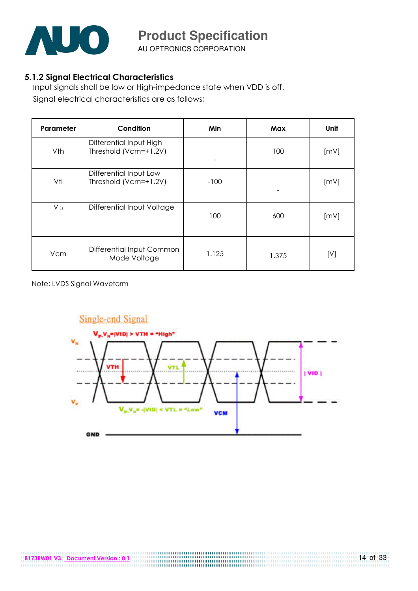

AU OPTRONICS CORPORATION

#### 5.1.2 Signal Electrical Characteristics

Input signals shall be low or High-impedance state when VDD is off. Signal electrical characteristics are as follows;

| Parameter | Condition                                        | Min    | Max   | Unit |
|-----------|--------------------------------------------------|--------|-------|------|
| Vth       | Differential Input High<br>Threshold (Vcm=+1.2V) |        | 100   | [mV] |
| Vtl       | Differential Input Low<br>Threshold (Vcm=+1.2V)  | $-100$ |       | [mV] |
| $V_{ID}$  | Differential Input Voltage                       | 100    | 600   | [mV] |
| Vcm       | Differential Input Common<br>Mode Voltage        | 1.125  | 1.375 | [V]  |

Note: LVDS Signal Waveform

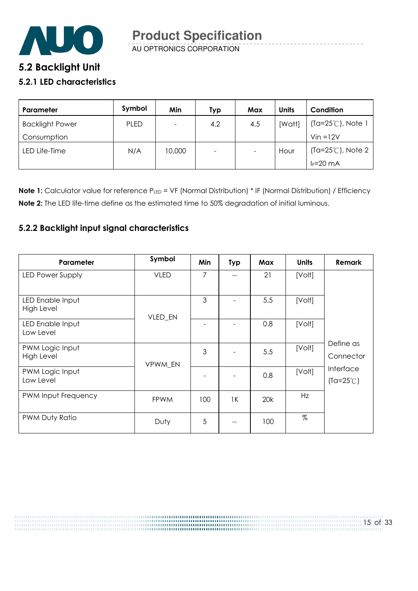

AU OPTRONICS CORPORATION

# 5.2 Backlight Unit

#### 5.2.1 LED characteristics

| Parameter              | Symbol      | Min    | Typ                      | Max | <b>Units</b> | Condition                   |
|------------------------|-------------|--------|--------------------------|-----|--------------|-----------------------------|
| <b>Backlight Power</b> | <b>PLED</b> |        | 4.2                      | 4.5 | [Watt]       | (Ta=25℃), Note 1            |
| Consumption            |             |        |                          |     |              | $V$ in = $12V$              |
| LED Life-Time          | N/A         | 10,000 | $\overline{\phantom{0}}$ |     | Hour         | $(Ta=25^{\circ}C)$ , Note 2 |
|                        |             |        |                          |     |              | $I_F = 20$ mA               |

Note 1: Calculator value for reference PLED = VF (Normal Distribution) \* IF (Normal Distribution) / Efficiency Note 2: The LED life-time define as the estimated time to 50% degradation of initial luminous.

### 5.2.2 Backlight input signal characteristics

| Parameter                      | Symbol      | Min | <b>Typ</b> | Max | <b>Units</b> | <b>Remark</b>                          |
|--------------------------------|-------------|-----|------------|-----|--------------|----------------------------------------|
| LED Power Supply               | <b>VLED</b> | 7   | $-$        | 21  | [Volt]       |                                        |
| LED Enable Input<br>High Level | VLED_EN     | 3   |            | 5.5 | [Volt]       |                                        |
| LED Enable Input<br>Low Level  |             |     |            | 0.8 | [Volt]       |                                        |
| PWM Logic Input<br>High Level  | VPWM EN     | 3   |            | 5.5 | [Volt]       | Define as<br>Connector                 |
| PWM Logic Input<br>Low Level   |             |     |            | 0.8 | [Volt]       | <b>Interface</b><br>$(Ta=25^{\circ}C)$ |
| PWM Input Frequency            | <b>FPWM</b> | 100 | 1K         | 20k | Hz           |                                        |
| PWM Duty Ratio                 | Duty        | 5   |            | 100 | $\%$         |                                        |

15 of 33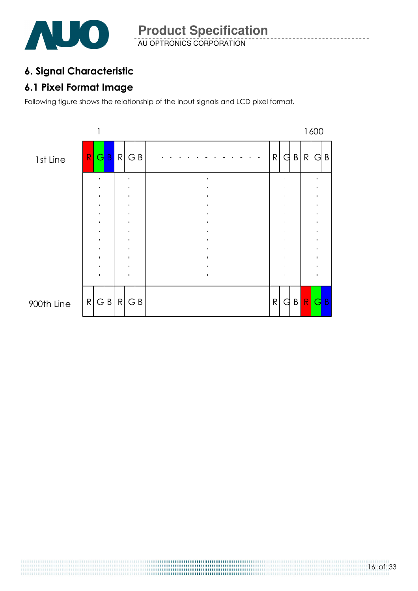

## 6. Signal Characteristic

## 6.1 Pixel Format Image

Following figure shows the relationship of the input signals and LCD pixel format.



16 of 33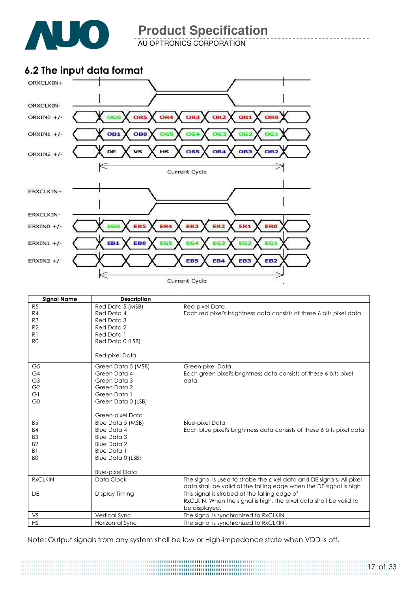

AU OPTRONICS CORPORATION

## 6.2 The input data format



| <b>Signal Name</b> | <b>Description</b>     |                                                                        |
|--------------------|------------------------|------------------------------------------------------------------------|
| R5                 | Red Data 5 (MSB)       | Red-pixel Data                                                         |
| R4                 | Red Data 4             | Each red pixel's brightness data consists of these 6 bits pixel data.  |
| R <sub>3</sub>     | Red Data 3             |                                                                        |
| R <sub>2</sub>     | Red Data 2             |                                                                        |
| R <sub>1</sub>     | Red Data 1             |                                                                        |
| R <sub>0</sub>     | Red Data 0 (LSB)       |                                                                        |
|                    | Red-pixel Data         |                                                                        |
| G <sub>5</sub>     | Green Data 5 (MSB)     | Green-pixel Data                                                       |
| G4                 | Green Data 4           | Each green pixel's brightness data consists of these 6 bits pixel      |
| G <sub>3</sub>     | Green Data 3           | data.                                                                  |
| G <sub>2</sub>     | Green Data 2           |                                                                        |
| G1                 | Green Data 1           |                                                                        |
| G <sub>0</sub>     | Green Data 0 (LSB)     |                                                                        |
|                    | Green-pixel Data       |                                                                        |
| <b>B5</b>          | Blue Data 5 (MSB)      | <b>Blue-pixel Data</b>                                                 |
| <b>B4</b>          | <b>Blue Data 4</b>     | Each blue pixel's brightness data consists of these 6 bits pixel data. |
| B <sub>3</sub>     | <b>Blue Data 3</b>     |                                                                        |
| B <sub>2</sub>     | <b>Blue Data 2</b>     |                                                                        |
| B <sub>1</sub>     | <b>Blue Data 1</b>     |                                                                        |
| B <sub>O</sub>     | Blue Data 0 (LSB)      |                                                                        |
|                    |                        |                                                                        |
|                    | <b>Blue-pixel Data</b> |                                                                        |
| <b>RxCLKIN</b>     | Data Clock             | The signal is used to strobe the pixel data and DE signals. All pixel  |
|                    |                        | data shall be valid at the falling edge when the DE signal is high     |
| <b>DE</b>          | Display Timing         | This signal is strobed at the falling edge of                          |
|                    |                        | RxCLKIN. When the signal is high, the pixel data shall be valid to     |
| VS                 |                        | be displayed.                                                          |
| <b>HS</b>          | Vertical Sync          | The signal is synchronized to RxCLKIN.                                 |
|                    | Horizontal Sync        | The signal is synchronized to RxCLKIN.                                 |

Note: Output signals from any system shall be low or High-impedance state when VDD is off.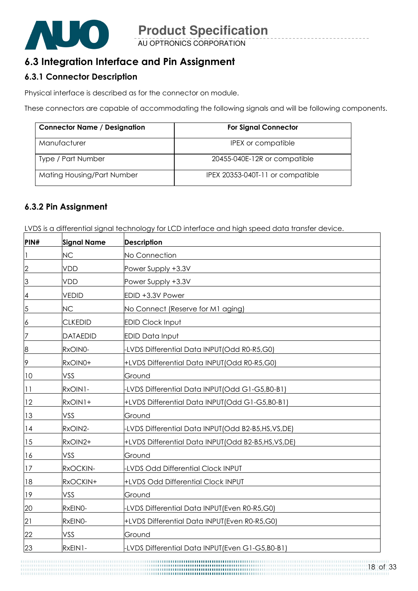

## 6.3 Integration Interface and Pin Assignment

## 6.3.1 Connector Description

Physical interface is described as for the connector on module.

These connectors are capable of accommodating the following signals and will be following components.

| <b>Connector Name / Designation</b> | <b>For Signal Connector</b>      |  |  |  |  |
|-------------------------------------|----------------------------------|--|--|--|--|
| Manufacturer                        | IPEX or compatible               |  |  |  |  |
| Type / Part Number                  | 20455-040E-12R or compatible     |  |  |  |  |
| Mating Housing/Part Number          | IPEX 20353-040T-11 or compatible |  |  |  |  |

#### 6.3.2 Pin Assignment

LVDS is a differential signal technology for LCD interface and high speed data transfer device.

| PIN#           | <b>Signal Name</b> | <b>Description</b>                                |
|----------------|--------------------|---------------------------------------------------|
| 1              | <b>NC</b>          | No Connection                                     |
| $\overline{2}$ | <b>VDD</b>         | Power Supply +3.3V                                |
| 3              | <b>VDD</b>         | Power Supply +3.3V                                |
| 4              | <b>VEDID</b>       | EDID +3.3V Power                                  |
| 5              | <b>NC</b>          | No Connect (Reserve for M1 aging)                 |
| 6              | <b>CLKEDID</b>     | <b>EDID Clock Input</b>                           |
| 7              | <b>DATAEDID</b>    | <b>EDID Data Input</b>                            |
| $\overline{8}$ | RxOIN0-            | LVDS Differential Data INPUT(Odd R0-R5,G0)        |
| 9              | RxOIN0+            | +LVDS Differential Data INPUT(Odd R0-R5,G0)       |
| 10             | VSS                | Ground                                            |
| 11             | RxOIN1-            | -LVDS Differential Data INPUT(Odd G1-G5,B0-B1)    |
| 12             | RxOIN1+            | +LVDS Differential Data INPUT(Odd G1-G5,B0-B1)    |
| 13             | VSS                | Ground                                            |
| 14             | RxOIN2-            | -LVDS Differential Data INPUT(Odd B2-B5,HS,VS,DE) |
| 15             | RxOIN2+            | +LVDS Differential Data INPUT(Odd B2-B5,HS,VS,DE) |
| 16             | VSS                | Ground                                            |
| 17             | RxOCKIN-           | <b>LVDS Odd Differential Clock INPUT</b>          |
| 18             | RxOCKIN+           | +LVDS Odd Differential Clock INPUT                |
| 19             | VSS                | Ground                                            |
| 20             | RxEINO-            | -LVDS Differential Data INPUT(Even R0-R5,G0)      |
| 21             | RxEINO-            | +LVDS Differential Data INPUT(Even R0-R5,G0)      |
| 22             | VSS                | Ground                                            |
| 23             | RxEIN1-            | LVDS Differential Data INPUT(Even G1-G5,B0-B1)    |

,,,,,,,,,,,,,,,,,,,,,,,,,,,,,,,,,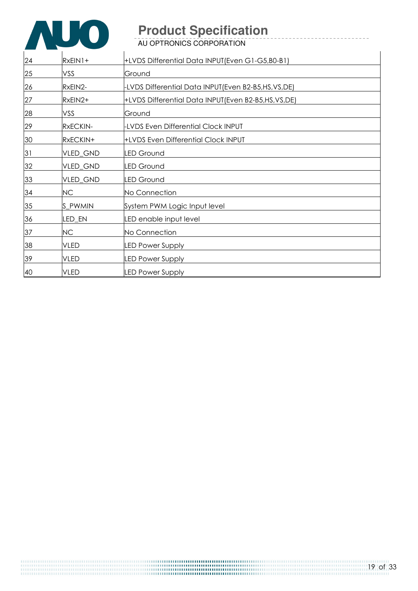

AU OPTRONICS CORPORATION

| 24 | $RxEIN1+$   | +LVDS Differential Data INPUT (Even G1-G5, B0-B1)  |
|----|-------------|----------------------------------------------------|
| 25 | VSS         | Ground                                             |
| 26 | RxEIN2-     | -LVDS Differential Data INPUT(Even B2-B5,HS,VS,DE) |
| 27 | RxEIN2+     | +LVDS Differential Data INPUT(Even B2-B5,HS,VS,DE) |
| 28 | VSS         | Ground                                             |
| 29 | RxECKIN-    | <b>LVDS Even Differential Clock INPUT</b>          |
| 30 | RxECKIN+    | +LVDS Even Differential Clock INPUT                |
| 31 | VLED_GND    | <b>LED Ground</b>                                  |
| 32 | VLED_GND    | <b>LED Ground</b>                                  |
| 33 | VLED_GND    | <b>LED Ground</b>                                  |
| 34 | <b>NC</b>   | No Connection                                      |
| 35 | S_PWMIN     | System PWM Logic Input level                       |
| 36 | LED_EN      | LED enable input level                             |
| 37 | NC          | No Connection                                      |
| 38 | <b>VLED</b> | <b>LED Power Supply</b>                            |
| 39 | <b>VLED</b> | <b>LED Power Supply</b>                            |
| 40 | <b>VLED</b> | <b>LED Power Supply</b>                            |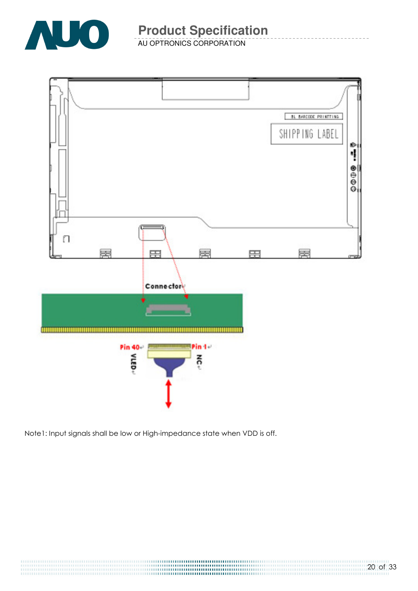

AU OPTRONICS CORPORATION



Note1: Input signals shall be low or High-impedance state when VDD is off.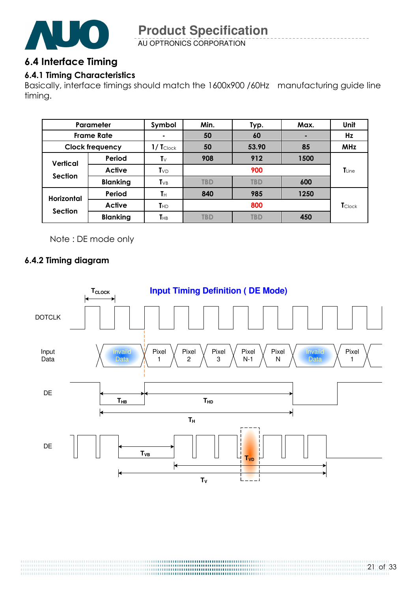

AU OPTRONICS CORPORATION

## 6.4 Interface Timing

## 6.4.1 Timing Characteristics

Basically, interface timings should match the 1600x900 /60Hz manufacturing guide line timing.

| Parameter                           |                 | Symbol                        | Min.       | Typ.       | Max. | Unit                        |
|-------------------------------------|-----------------|-------------------------------|------------|------------|------|-----------------------------|
| <b>Frame Rate</b>                   |                 |                               | 50         | 60         |      | Hz                          |
| <b>Clock frequency</b>              |                 | $1/\mathsf{T}_{\text{Clock}}$ | 50         | 53.90      | 85   | <b>MHz</b>                  |
| Vertical<br><b>Section</b>          | Period          | T∨                            | 908        | 912        | 1500 |                             |
|                                     | Active          | $T_{VD}$                      | 900        |            |      | $T_{Line}$                  |
|                                     | <b>Blanking</b> | $T_{VB}$                      | <b>TBD</b> | <b>TBD</b> | 600  |                             |
| <b>Horizontal</b><br><b>Section</b> | Period          | Tн                            | 840        | 985        | 1250 |                             |
|                                     | <b>Active</b>   | $T_{HD}$                      |            | 800        |      | $\mathbf{T}_{\text{Clock}}$ |
|                                     | <b>Blanking</b> | $T_{\rm HB}$                  | <b>TBD</b> | <b>TBD</b> | 450  |                             |

Note : DE mode only

## 6.4.2 Timing diagram

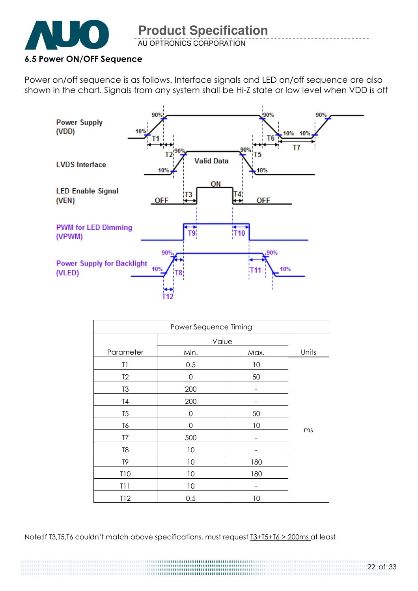

AU OPTRONICS CORPORATION

### 6.5 Power ON/OFF Sequence

Power on/off sequence is as follows. Interface signals and LED on/off sequence are also shown in the chart. Signals from any system shall be Hi-Z state or low level when VDD is off



| Power Sequence Timing |          |      |       |  |  |
|-----------------------|----------|------|-------|--|--|
|                       | Value    |      |       |  |  |
| Parameter             | Min.     | Max. | Units |  |  |
| T1                    | 0.5      | 10   |       |  |  |
| T <sub>2</sub>        | 0        | 50   |       |  |  |
| T <sub>3</sub>        | 200      | -    |       |  |  |
| T <sub>4</sub>        | 200      |      |       |  |  |
| T <sub>5</sub>        | 0        | 50   |       |  |  |
| T6                    | $\Omega$ | 10   |       |  |  |
| T7                    | 500      |      | ms    |  |  |
| T <sub>8</sub>        | 10       |      |       |  |  |
| T9                    | 10       | 180  |       |  |  |
| <b>T10</b>            | 10       | 180  |       |  |  |
| T11                   | 10       |      |       |  |  |
| T12                   | 0.5      | 10   |       |  |  |

Note:If T3,T5,T6 couldn't match above specifications, must request  $13+15+16 > 200$ ms at least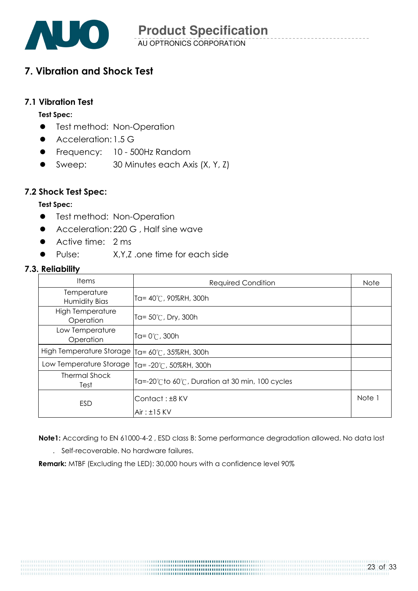

AU OPTRONICS CORPORATION **Product Specification** 

## 7. Vibration and Shock Test

#### 7.1 Vibration Test

#### Test Spec:

- **•** Test method: Non-Operation
- Acceleration: 1.5 G
- **•** Frequency: 10 500Hz Random
- Sweep: 30 Minutes each Axis (X, Y, Z)

#### 7.2 Shock Test Spec:

#### Test Spec:

- **•** Test method: Non-Operation
- Acceleration: 220 G, Half sine wave
- Active time: 2 ms
- Pulse: X,Y,Z .one time for each side

#### 7.3. Reliability

| <b>Items</b>                         | <b>Required Condition</b>                       | <b>Note</b> |
|--------------------------------------|-------------------------------------------------|-------------|
| Temperature<br>Humidity Bias         | Ta= 40℃, 90%RH, 300h                            |             |
| <b>High Temperature</b><br>Operation | Ta= $50^{\circ}$ C, Dry, 300h                   |             |
| Low Temperature<br>Operation         | Ta= $0^{\circ}$ C, 300h                         |             |
| High Temperature Storage             | Ta= 60°C, 35%RH, 300h                           |             |
| Low Temperature Storage              | Ta= -20℃, 50%RH, 300h                           |             |
| <b>Thermal Shock</b><br>Test         | Ta=-20°Cto 60°C, Duration at 30 min, 100 cycles |             |
| <b>ESD</b>                           | Contact: ±8 KV<br>$Air: \pm 15$ KV              | Note 1      |

Note1: According to EN 61000-4-2 , ESD class B: Some performance degradation allowed. No data lost

. Self-recoverable. No hardware failures.

Remark: MTBF (Excluding the LED): 30,000 hours with a confidence level 90%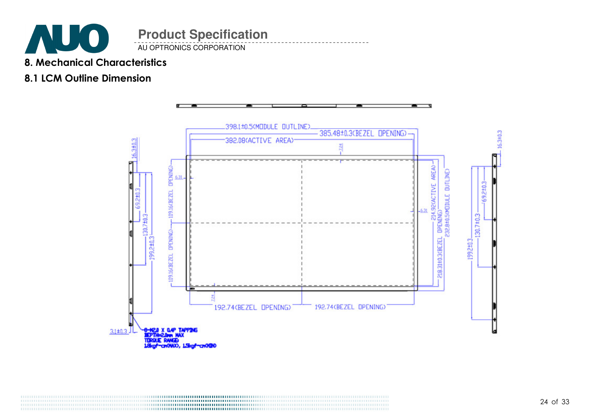

AU OPTRONICS CORPORATION

## 8. Mechanical Characteristics

## 8.1 LCM Outline Dimension

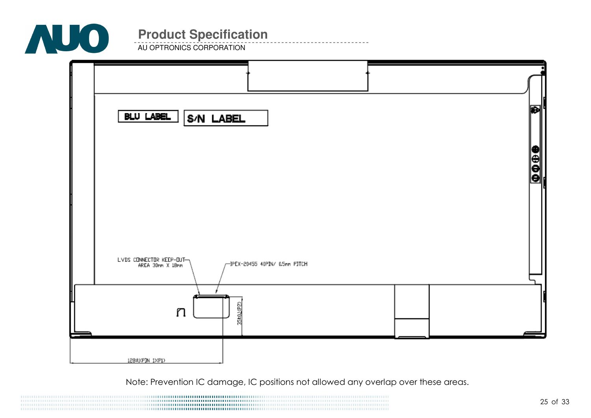

AU OPTRONICS CORPORATION



Note: Prevention IC damage, IC positions not allowed any overlap over these areas.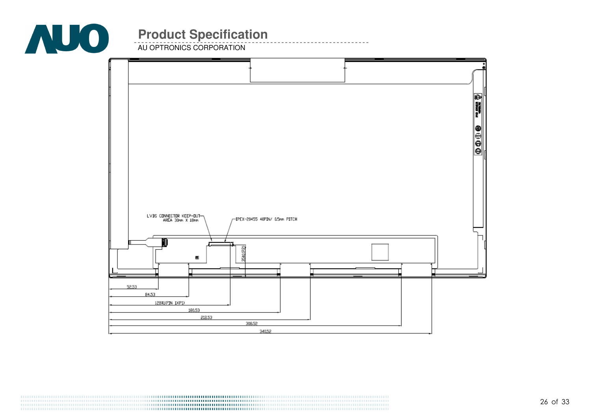

AU OPTRONICS CORPORATION

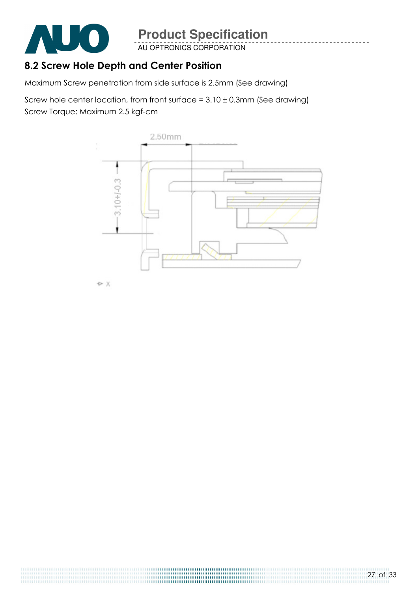

AU OPTRONICS CORPORATION

## 8.2 Screw Hole Depth and Center Position

Maximum Screw penetration from side surface is 2.5mm (See drawing)

Screw hole center location, from front surface =  $3.10 \pm 0.3$ mm (See drawing) Screw Torque: Maximum 2.5 kgf-cm



**D** X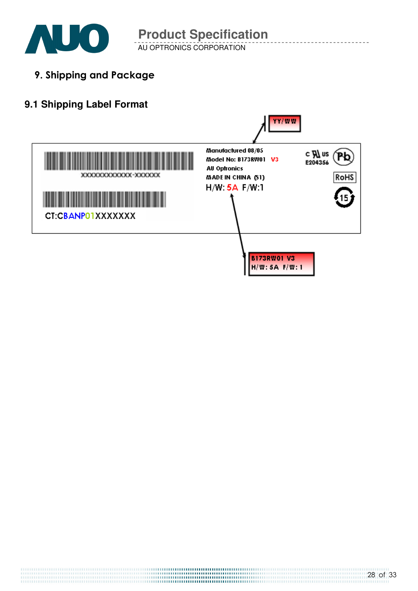

AU OPTRONICS CORPORATION

9. Shipping and Package

## **9.1 Shipping Label Format**

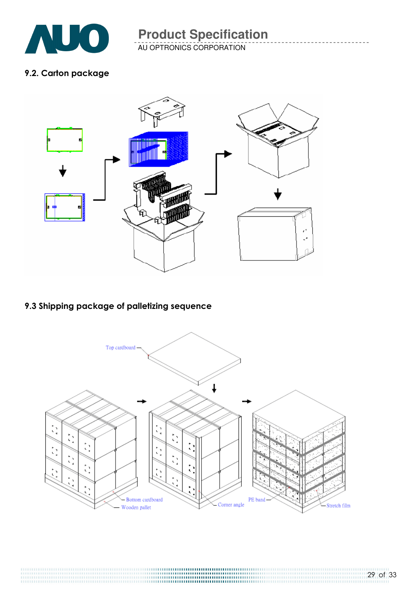

AU OPTRONICS CORPORATION

### 9.2. Carton package



## 9.3 Shipping package of palletizing sequence

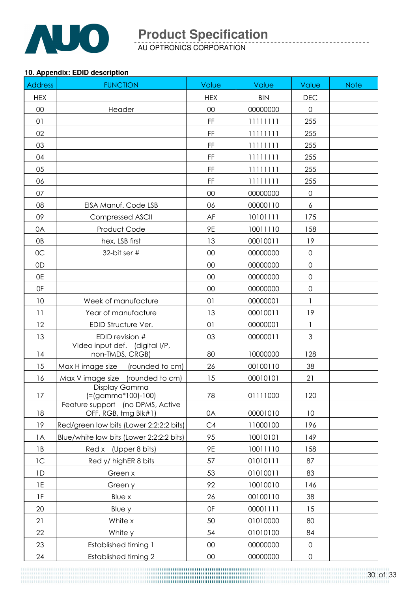

AU OPTRONICS CORPORATION

#### **10. Appendix: EDID description**

| <b>Address</b>  | <b>FUNCTION</b>                                          | Value                                                                                          | Value      | Value               | <b>Note</b> |
|-----------------|----------------------------------------------------------|------------------------------------------------------------------------------------------------|------------|---------------------|-------------|
| <b>HEX</b>      |                                                          | <b>HEX</b>                                                                                     | <b>BIN</b> | <b>DEC</b>          |             |
| 00              | Header                                                   | 00                                                                                             | 00000000   | $\mathbf 0$         |             |
| 01              |                                                          | $\mathsf{FF}% _{0}\left( \mathcal{F}_{0}\right) =\mathsf{FF}_{0}\left( \mathcal{F}_{0}\right)$ | 11111111   | 255                 |             |
| 02              |                                                          | FF                                                                                             | 11111111   | 255                 |             |
| 03              |                                                          | FF                                                                                             | 11111111   | 255                 |             |
| 04              |                                                          | FF                                                                                             | 11111111   | 255                 |             |
| 05              |                                                          | $\mathsf{FF}% _{0}$                                                                            | 11111111   | 255                 |             |
| 06              |                                                          | $\mathsf{FF}% _{0}$                                                                            | 11111111   | 255                 |             |
| 07              |                                                          | 00                                                                                             | 00000000   | $\mathbf 0$         |             |
| 08              | EISA Manuf. Code LSB                                     | 06                                                                                             | 00000110   | 6                   |             |
| 09              | <b>Compressed ASCII</b>                                  | AF                                                                                             | 10101111   | 175                 |             |
| 0A              | Product Code                                             | 9E                                                                                             | 10011110   | 158                 |             |
| 0B              | hex, LSB first                                           | 13                                                                                             | 00010011   | 19                  |             |
| OC              | 32-bit ser #                                             | 00                                                                                             | 00000000   | $\mathsf{O}\xspace$ |             |
| 0D              |                                                          | 00                                                                                             | 00000000   | $\mathsf{O}\xspace$ |             |
| 0E              |                                                          | 00                                                                                             | 00000000   | $\mathsf{O}\xspace$ |             |
| 0F              |                                                          | 00                                                                                             | 00000000   | $\mathsf{O}\xspace$ |             |
| 10              | Week of manufacture                                      | 01                                                                                             | 00000001   | $\mathbf{1}$        |             |
| 11              | Year of manufacture                                      | 13                                                                                             | 00010011   | 19                  |             |
| 12              | EDID Structure Ver.                                      | 01                                                                                             | 00000001   | $\mathbf{1}$        |             |
| 13              | EDID revision #                                          | 03                                                                                             | 00000011   | $\mathfrak{S}$      |             |
| 14              | Video input def. (digital I/P,<br>non-TMDS, CRGB)        | 80                                                                                             | 10000000   | 128                 |             |
| 15              | Max H image size (rounded to cm)                         | 26                                                                                             | 00100110   | 38                  |             |
| 16              | Max V image size<br>(rounded to cm)                      | 15                                                                                             | 00010101   | 21                  |             |
| 17              | Display Gamma<br>(=(gamma*100)-100)                      | 78                                                                                             | 01111000   | 120                 |             |
| 18              | Feature support (no DPMS, Active<br>OFF, RGB, tmg Blk#1) | 0A                                                                                             | 00001010   | 10                  |             |
| 19              | Red/green low bits (Lower 2:2:2:2 bits)                  | C4                                                                                             | 11000100   | 196                 |             |
| 1A              | Blue/white low bits (Lower 2:2:2:2 bits)                 | 95                                                                                             | 10010101   | 149                 |             |
| 1B              | Red x (Upper 8 bits)                                     | 9Ε                                                                                             | 10011110   | 158                 |             |
| 1C              | Red y/ highER 8 bits                                     | 57                                                                                             | 01010111   | 87                  |             |
| 1D              | Green x                                                  | 53                                                                                             | 01010011   | 83                  |             |
| $1\mathsf{E}$   | Green y                                                  | 92                                                                                             | 10010010   | 146                 |             |
| $1\,\mathrm{F}$ | Blue x                                                   | 26                                                                                             | 00100110   | 38                  |             |
| 20              | Blue y                                                   | 0F                                                                                             | 00001111   | 15                  |             |
| 21              | White x                                                  | 50                                                                                             | 01010000   | 80                  |             |
| 22              | White y                                                  | 54                                                                                             | 01010100   | 84                  |             |
| 23              | <b>Established timing 1</b>                              | $00\,$                                                                                         | 00000000   | $\mathsf{O}\xspace$ |             |
| 24              | Established timing 2                                     | $00\,$                                                                                         | 00000000   | $\mathsf{O}\xspace$ |             |

30 of 33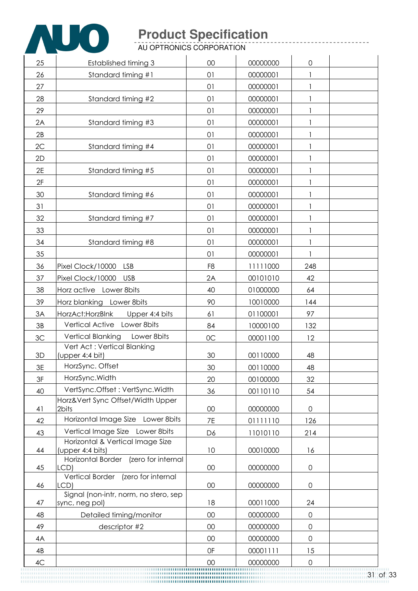

AU OPTRONICS CORPORATION

| 25 | <b>Established timing 3</b>                          | 00             | 00000000 | 0                   |  |
|----|------------------------------------------------------|----------------|----------|---------------------|--|
| 26 | Standard timing #1                                   | 01             | 00000001 |                     |  |
| 27 |                                                      | 01             | 00000001 | $\mathbf{1}$        |  |
| 28 | Standard timing #2                                   | 01             | 00000001 | 1                   |  |
| 29 |                                                      | 01             | 00000001 | $\mathbf{1}$        |  |
| 2A | Standard timing #3                                   | 01             | 00000001 | 1                   |  |
| 2B |                                                      | 01             | 00000001 | 1                   |  |
| 2C | Standard timing #4                                   | 01             | 00000001 |                     |  |
| 2D |                                                      | 01             | 00000001 | $\mathbf{1}$        |  |
| 2E | Standard timing #5                                   | 01             | 00000001 |                     |  |
| 2F |                                                      | 01             | 00000001 |                     |  |
| 30 | Standard timing #6                                   | 01             | 00000001 | 1                   |  |
| 31 |                                                      | 01             | 00000001 |                     |  |
| 32 | Standard timing #7                                   | 01             | 00000001 | 1                   |  |
| 33 |                                                      | 01             | 00000001 |                     |  |
| 34 | Standard timing #8                                   | 01             | 00000001 | $\mathbf{1}$        |  |
| 35 |                                                      | 01             | 00000001 | $\mathbf{1}$        |  |
| 36 | Pixel Clock/10000<br><b>LSB</b>                      | F <sub>8</sub> | 11111000 | 248                 |  |
| 37 | Pixel Clock/10000<br><b>USB</b>                      | 2A             | 00101010 | 42                  |  |
| 38 | Horz active Lower 8bits                              | 40             | 01000000 | 64                  |  |
| 39 | Horz blanking Lower 8bits                            | 90             | 10010000 | 144                 |  |
| 3A | HorzAct: HorzBlnk<br>Upper 4:4 bits                  | 61             | 01100001 | 97                  |  |
| 3B | Vertical Active Lower 8bits                          | 84             | 10000100 | 132                 |  |
| 3C | Vertical Blanking<br>Lower 8bits                     | OC             | 00001100 | 12                  |  |
|    | Vert Act: Vertical Blanking                          |                |          |                     |  |
| 3D | (upper 4:4 bit)                                      | 30             | 00110000 | 48                  |  |
| 3E | HorzSync. Offset                                     | 30             | 00110000 | 48                  |  |
| 3F | HorzSync. Width                                      | 20             | 00100000 | 32                  |  |
| 40 | VertSync.Offset: VertSync.Width                      | 36             | 00110110 | 54                  |  |
| 41 | Horz‖ Sync Offset/Width Upper<br>2bits               | $00\,$         | 00000000 | $\mathsf{O}\xspace$ |  |
| 42 | Horizontal Image Size Lower 8bits                    | 7E             | 01111110 | 126                 |  |
| 43 | Vertical Image Size Lower 8bits                      | D6             | 11010110 | 214                 |  |
| 44 | Horizontal & Vertical Image Size<br>(upper 4:4 bits) | 10             | 00010000 | 16                  |  |
| 45 | Horizontal Border (zero for internal<br>LCD)         | $00\,$         | 00000000 | $\mathsf{O}\xspace$ |  |
| 46 | Vertical Border (zero for internal<br>LCD)           | $00\,$         | 00000000 | 0                   |  |
|    | Signal (non-intr, norm, no stero, sep                |                |          |                     |  |
| 47 | sync, neg pol)                                       | 18             | 00011000 | 24                  |  |
| 48 | Detailed timing/monitor                              | $00\,$         | 00000000 | $\mathsf{O}\xspace$ |  |
| 49 | descriptor #2                                        | $00\,$         | 00000000 | $\mathsf{O}\xspace$ |  |
| 4A |                                                      | 00             | 00000000 | 0                   |  |
| 4B |                                                      | 0F             | 00001111 | 15                  |  |
| 4C |                                                      | 00             | 00000000 | $\mathbf 0$         |  |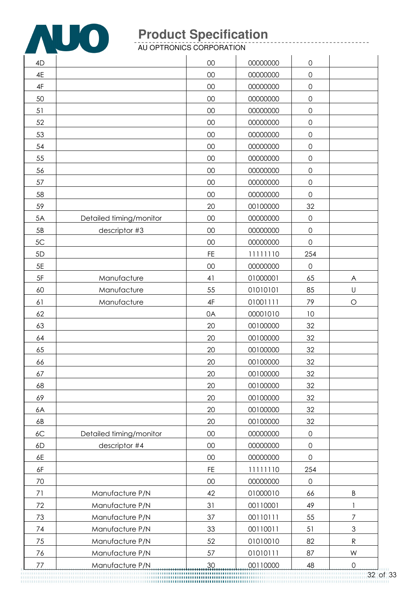

AU OPTRONICS CORPORATION

| 4D |                         | 00            | 00000000 | $\mathsf{O}\xspace$ |                |
|----|-------------------------|---------------|----------|---------------------|----------------|
| 4E |                         | 00            | 00000000 | $\mathsf{O}\xspace$ |                |
| 4F |                         | 00            | 00000000 | 0                   |                |
| 50 |                         | $00\,$        | 00000000 | $\mathsf{O}\xspace$ |                |
| 51 |                         | 00            | 00000000 | $\mathsf{O}$        |                |
| 52 |                         | 00            | 00000000 | $\mathsf{O}\xspace$ |                |
| 53 |                         | 00            | 00000000 | $\mathsf{O}\xspace$ |                |
| 54 |                         | 00            | 00000000 | $\mathsf{O}\xspace$ |                |
| 55 |                         | 00            | 00000000 | $\mathsf O$         |                |
| 56 |                         | $00\,$        | 00000000 | $\mathsf{O}\xspace$ |                |
| 57 |                         | $00\,$        | 00000000 | $\mathsf{O}$        |                |
| 58 |                         | 00            | 00000000 | $\mathsf{O}\xspace$ |                |
| 59 |                         | 20            | 00100000 | 32                  |                |
| 5A | Detailed timing/monitor | 00            | 00000000 | $\mathbf 0$         |                |
| 5B | descriptor #3           | 00            | 00000000 | $\mathsf{O}\xspace$ |                |
| 5C |                         | 00            | 00000000 | $\mathsf O$         |                |
| 5D |                         | <b>FE</b>     | 11111110 | 254                 |                |
| 5E |                         | 00            | 00000000 | $\mathsf{O}\xspace$ |                |
| 5F | Manufacture             | 41            | 01000001 | 65                  | A              |
| 60 | Manufacture             | 55            | 01010101 | 85                  | U              |
| 61 | Manufacture             | $4\mathsf{F}$ | 01001111 | 79                  | $\bigcirc$     |
| 62 |                         | 0A            | 00001010 | 10                  |                |
| 63 |                         | 20            | 00100000 | 32                  |                |
| 64 |                         | 20            | 00100000 | 32                  |                |
| 65 |                         | 20            | 00100000 | 32                  |                |
| 66 |                         | 20            | 00100000 | 32                  |                |
| 67 |                         | 20            | 00100000 | 32                  |                |
| 68 |                         | 20            | 00100000 | 32                  |                |
| 69 |                         | 20            | 00100000 | 32                  |                |
| 6A |                         | 20            | 00100000 | 32                  |                |
| 6B |                         | 20            | 00100000 | 32                  |                |
| 6C | Detailed timing/monitor | $00\,$        | 00000000 | $\mathsf{O}\xspace$ |                |
| 6D | descriptor #4           | $00\,$        | 00000000 | $\mathsf{O}\xspace$ |                |
| 6E |                         | $00\,$        | 00000000 | $\mathbf 0$         |                |
| 6F |                         | <b>FE</b>     | 11111110 | 254                 |                |
| 70 |                         | 00            | 00000000 | $\mathbf 0$         |                |
| 71 | Manufacture P/N         | 42            | 01000010 | 66                  | $\sf B$        |
| 72 | Manufacture P/N         | 31            | 00110001 | 49                  |                |
| 73 | Manufacture P/N         | 37            | 00110111 | 55                  | 7              |
| 74 | Manufacture P/N         | 33            | 00110011 | 51                  | $\mathfrak{Z}$ |
| 75 | Manufacture P/N         | 52            | 01010010 | 82                  | ${\sf R}$      |
| 76 | Manufacture P/N         | 57            | 01010111 | 87                  | W              |
| 77 | Manufacture P/N         | 30            | 00110000 | 48                  | $\mathbf 0$    |